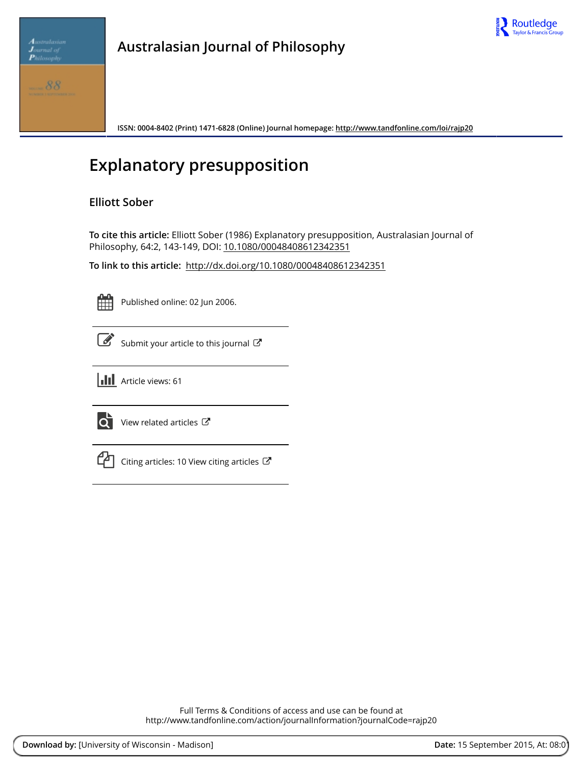

| Australasian    |  |
|-----------------|--|
| $J$ ournal of   |  |
| $P_{hilosophy}$ |  |

....... 88

## **Australasian Journal of Philosophy**

**ISSN: 0004-8402 (Print) 1471-6828 (Online) Journal homepage:<http://www.tandfonline.com/loi/rajp20>**

# **Explanatory presupposition**

### **Elliott Sober**

**To cite this article:** Elliott Sober (1986) Explanatory presupposition, Australasian Journal of Philosophy, 64:2, 143-149, DOI: [10.1080/00048408612342351](http://www.tandfonline.com/action/showCitFormats?doi=10.1080/00048408612342351)

**To link to this article:** <http://dx.doi.org/10.1080/00048408612342351>

Published online: 02 Jun 2006.

[Submit your article to this journal](http://www.tandfonline.com/action/authorSubmission?journalCode=rajp20&page=instructions)  $\mathbb{Z}$ 





[View related articles](http://www.tandfonline.com/doi/mlt/10.1080/00048408612342351)  $\mathbb{Z}$ 



 $\mathbb{C}$  [Citing articles: 10 View citing articles](http://www.tandfonline.com/doi/citedby/10.1080/00048408612342351#tabModule)  $\mathbb{C}$ 

Full Terms & Conditions of access and use can be found at <http://www.tandfonline.com/action/journalInformation?journalCode=rajp20>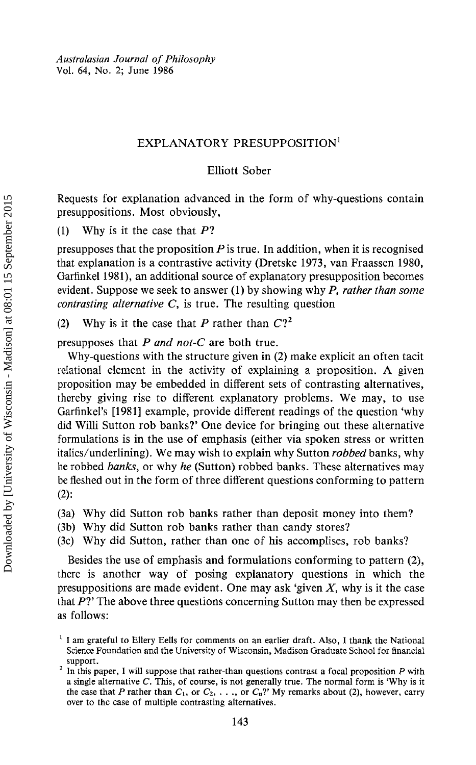#### EXPLANATORY PRESUPPOSITION<sup>1</sup>

#### Elliott Sober

Requests for explanation advanced in the form of why-questions contain presuppositions. Most obviously,

(1) Why is it the case that  $P$ ?

presupposes that the proposition  $P$  is true. In addition, when it is recognised that explanation is a contrastive activity (Dretske 1973, van Fraassen 1980, Garfinkel 1981), an additional source of explanatory presupposition becomes evident. Suppose we seek to answer (1) by showing why *P, rather than some contrasting alternative C,* is true. The resulting question

(2) Why is it the case that P rather than  $C$ ?<sup>2</sup>

presupposes that *P and not-C* are both true.

Why-questions with the structure given in (2) make explicit an often tacit relational element in the activity of explaining a proposition. A given proposition may be embedded in different sets of contrasting alternatives, thereby giving rise to different explanatory problems. We may, to use Garfinkel's [1981] example, provide different readings of the question 'why did Willi Sutton rob banks?' One device for bringing out these alternative formulations is in the use of emphasis (either via spoken stress or written italics/underlining). We may wish to explain why Sutton *robbed* banks, why he robbed *banks,* or why *he* (Sutton) robbed banks. These alternatives may be fleshed out in the form of three different questions conforming to pattern (2):

- (3a) Why did Sutton rob banks rather than deposit money into them?
- (3b) Why did Sutton rob banks rather than candy stores?
- (3c) Why did Sutton, rather than one of his accomplises, rob banks?

Besides the use of emphasis and formulations conforming to pattern (2), there is another way of posing explanatory questions in which the presuppositions are made evident. One may ask 'given  $X$ , why is it the case that  $P$ ?' The above three questions concerning Sutton may then be expressed as follows:

 $<sup>1</sup>$  I am grateful to Ellery Eells for comments on an earlier draft. Also, I thank the National</sup> Science Foundation and the University of Wisconsin, Madison Graduate School for financial support.

 $2 \text{ In this paper, I will suppose that rather-than questions contrast a focal proposition } P \text{ with }$ a single alternative C. This, of course, is not generally true. The normal form is 'Why is it the case that P rather than  $C_1$ , or  $C_2$ , ..., or  $C_n$ ?' My remarks about (2), however, carry over to the case of multiple contrasting alternatives.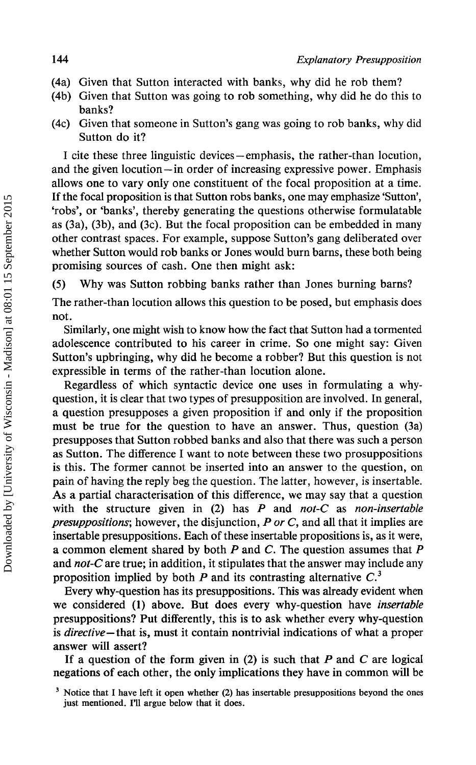- (4a) Given that Sutton interacted with banks, why did he rob them?
- (4b) Given that Sutton was going to rob something, why did he do this to banks?
- (4c) Given that someone in Sutton's gang was going to rob banks, why did Sutton do it?

I cite these three linguistic devices-emphasis, the rather-than locution, and the given locution-in order of increasing expressive power. Emphasis allows one to vary only one constituent of the focal proposition at a time. If the focal proposition is that Sutton robs banks, one may emphasize 'Sutton', 'robs', or 'banks', thereby generating the questions otherwise formulatable as (3a), (3b), and (3c). But the focal proposition can be embedded in many other contrast spaces. For example, suppose Sutton's gang deliberated over whether Sutton would rob banks or Jones would burn barns, these both being promising sources of cash. One then might ask:

(5) Why was Sutton robbing banks rather than Jones burning barns?

The rather-than locution allows this question to be posed, but emphasis does not.

Similarly, one might wish to know how the fact that Sutton had a tormented adolescence contributed to his career in crime. So one might say: Given Sutton's upbringing, why did he become a robber? But this question is not expressible in terms of the rather-than locution alone.

Regardless of which syntactic device one uses in formulating a whyquestion, it is clear that two types of presupposition are involved. In general, a question presupposes a given proposition if and only if the proposition must be true for the question to have an answer. Thus, question (3a) presupposes that Sutton robbed banks and also that there was such a person as Sutton. The difference I want to note between these two prosuppositions is this. The former cannot be inserted into an answer to the question, on pain of having the reply beg the question. The latter, however, is insertable. As a partial characterisation of this difference, we may say that a question with the structure given in (2) has P and *not-C* as *non-insertable presuppositions;* however, the disjunction, *P or C,* and all that it implies are insertable presuppositions. Each of these insertable propositions is, as it were, a common element shared by both  $P$  and  $C$ . The question assumes that  $P$ and *not-C are* true; in addition, it stipulates that the answer may include any proposition implied by both  $P$  and its contrasting alternative  $C<sup>3</sup>$ 

Every why-question has its presuppositions. This was already evident when we considered (1) above. But does every why-question have *insertable*  presuppositions? Put differently, this is to ask whether every why-question is *directive--that* is, must it contain nontrivial indications of what a proper answer will assert?

If a question of the form given in  $(2)$  is such that P and C are logical negations of each other, the only implications they have in common will be

<sup>&</sup>lt;sup>3</sup> Notice that I have left it open whether (2) has insertable presuppositions beyond the ones just mentioned. I'll argue below that it does.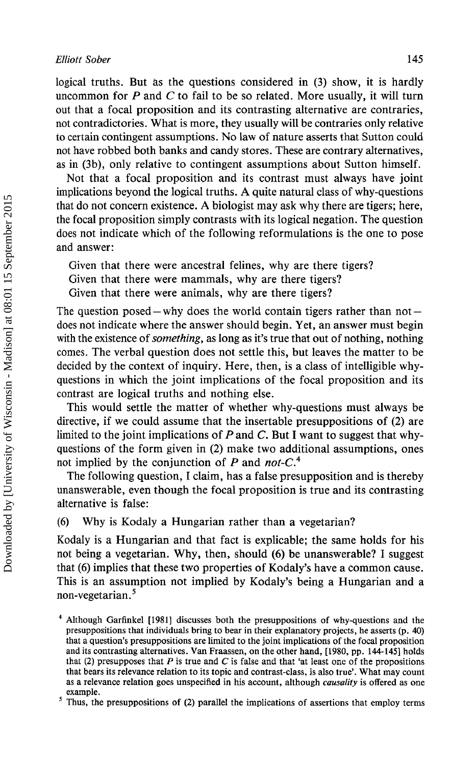logical truths. But as the questions considered in (3) show, it is hardly uncommon for  $P$  and  $C$  to fail to be so related. More usually, it will turn out that a focal proposition and its contrasting alternative are contraries, not contradictories. What is more, they usually will be contraries only relative to certain contingent assumptions. No law of nature asserts that Sutton could not have robbed both banks and candy stores. These are contrary alternatives, as in (3b), only relative to contingent assumptions about Sutton himself.

Not that a focal proposition and its contrast must always have joint implications beyond the logical truths. A quite natural class of why-questions that do not concern existence. A biologist may ask why there are tigers; here, the focal proposition simply contrasts with its logical negation. The question does not indicate which of the following reformulations is the one to pose and answer:

Given that there were ancestral felines, why are there tigers? Given that there were mammals, why are there tigers? Given that there were animals, why are there tigers?

The question posed - why does the world contain tigers rather than not does not indicate where the answer should begin. Yet, an answer must begin with the existence *of something,* as long as it's true that out of nothing, nothing comes. The verbal question does not settle this, but leaves the matter to be decided by the context of inquiry. Here, then, is a class of intelligible whyquestions in which the joint implications of the focal proposition and its contrast are logical truths and nothing else.

This would settle the matter of whether why-questions must always be directive, if we could assume that the insertable presuppositions of (2) are limited to the joint implications of  $P$  and  $C$ . But I want to suggest that whyquestions of the form given in (2) make two additional assumptions, ones not implied by the conjunction of P and *not-C. 4* 

The following question, I claim, has a false presupposition and is thereby unanswerable, even though the focal proposition is true and its contrasting alternative is false:

(6) Why is Kodaly a Hungarian rather than a vegetarian?

Kodaly is a Hungarian and that fact is explicable; the same holds for his not being a vegetarian. Why, then, should (6) be unanswerable? I suggest that (6) implies that these two properties of Kodaly's have a common cause. This is an assumption not implied by Kodaly's being a Hungarian and a non-vegetarian.<sup>5</sup>

<sup>4</sup> Although Garfinkel [1981] discusses both the presuppositions of why-questions and the presuppositions that individuals bring to bear in their explanatory projects, he asserts (p. 40) that a question's presuppositions are limited to the joint implications of the focal proposition and its contrasting alternatives. Van Fraassen, on the other hand, [1980, pp. 144-145] holds that (2) presupposes that  $P$  is true and  $C$  is false and that 'at least one of the propositions that bears its relevance relation to its topic and contrast-class, is also true'. What may count as a relevance relation goes unspecified in his account, although *causality* is offered as one example.

 $5$  Thus, the presuppositions of (2) parallel the implications of assertions that employ terms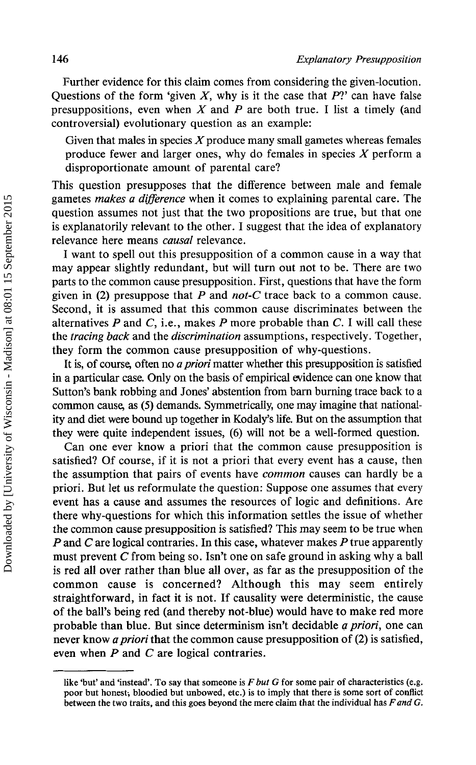Further evidence for this claim comes from considering the given-locution. Questions of the form 'given X, why is it the case that  $P$ ?' can have false presuppositions, even when  $X$  and  $P$  are both true. I list a timely (and controversial) evolutionary question as an example:

Given that males in species  $X$  produce many small gametes whereas females produce fewer and larger ones, why do females in species  $X$  perform a disproportionate amount of parental care?

This question presupposes that the difference between male and female gametes *makes a difference* when it comes to explaining parental care. The question assumes not just that the two propositions are true, but that one is explanatorily relevant to the other. I suggest that the idea of explanatory relevance here means *causal* relevance.

I want to spell out this presupposition of a common cause in a way that may appear slightly redundant, but will turn out not to be. There are two parts to the common cause presupposition. First, questions that have the form given in (2) presuppose that P and *not-C* trace back to a common cause. Second, it is assumed that this common cause discriminates between the alternatives  $P$  and  $C$ , i.e., makes  $P$  more probable than  $C$ . I will call these the *tracing back* and the *discrimination* assumptions, respectively. Together, they form the common cause presupposition of why-questions.

It is, of course, often no *a priori* matter whether this presupposition is satisfied in a particular case. Only on the basis of empirical evidence can one know that Sutton's bank robbing and Jones' abstention from barn burning trace back to a common cause, as (5) demands. Symmetrically, one may imagine that nationality and diet were bound up together in Kodaly's life. But on the assumption that they were quite independent issues, (6) will not be a well-formed question.

Can one ever know a priori that the common cause presupposition is satisfied? Of course, if it is not a priori that every event has a cause, then the assumption that pairs of events have *common* causes can hardly be a priori. But let us reformulate the question: Suppose one assumes that every event has a cause and assumes the resources of logic and definitions. Are there why-questions for which this information settles the issue of whether the common cause presupposition is satisfied? This may seem to be true when P and C are logical contraries. In this case, whatever makes  $P$  true apparently must prevent C from being so. Isn't one on safe ground in asking why a ball is red all over rather than blue all over, as far as the presupposition of the common cause is concerned? Although this may seem entirely straightforward, in fact it is not. If causality were deterministic, the cause of the bali's being red (and thereby not-blue) would have to make red more probable than blue. But since determinism isn't decidable *a priori,* one can never know *apriori* that the common cause presupposition of (2) is satisfied, even when P and C are logical contraries.

like 'but' and 'instead'. To say that someone is *F but G* for some pair of characteristics (e.g. poor but honest; bloodied but unbowed, etc.) is to imply that there is some sort of conflict between the two traits, and this goes beyond the mere claim that the individual has *Fand G.*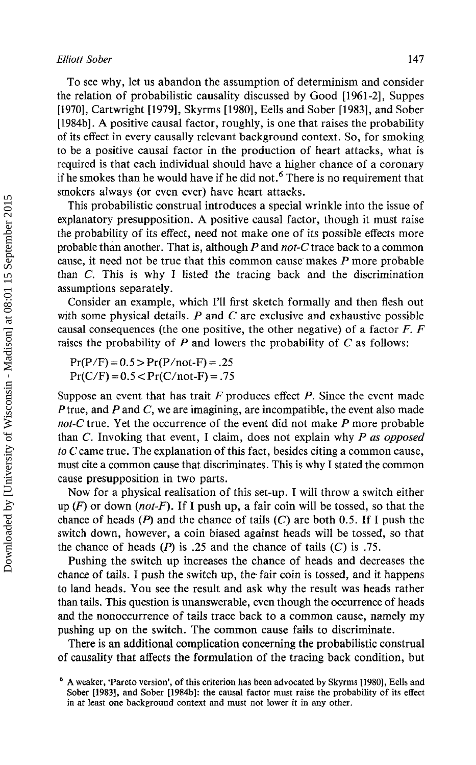To see why, let us abandon the assumption of determinism and consider the relation of probabilistic causality discussed by Good [1961-2], Suppes [1970], Cartwright [1979], Skyrms [1980], Eells and Sober [1983], and Sober [1984b]. A positive causal factor, roughly, is one that raises the probability of its effect in every causally relevant background context. So, for smoking to be a positive causal factor in the production of heart attacks, what is required is that each individual should have a higher chance of a coronary if he smokes than he would have if he did not.<sup>6</sup> There is no requirement that smokers always (or even ever) have heart attacks.

This probabilistic construal introduces a special wrinkle into the issue of explanatory presupposition. A positive causal factor, though it must raise the probability of its effect, need not make one of its possible effects more probable than another. That is, although P and *not-C* trace back to a common cause, it need not be true that this common cause makes  $P$  more probable than C. This is why I listed the tracing back and the discrimination assumptions separately.

Consider an example, which I'll first sketch formally and then flesh out with some physical details.  $P$  and  $C$  are exclusive and exhaustive possible causal consequences (the one positive, the other negative) of a factor  $F$ .  $F$ raises the probability of  $P$  and lowers the probability of  $C$  as follows:

 $Pr(P/F) = 0.5 > Pr(P/not-F) = .25$  $Pr(C/F) = 0.5 < Pr(C/not-F) = .75$ 

Suppose an event that has trait  $F$  produces effect  $P$ . Since the event made P true, and  $P$  and  $C$ , we are imagining, are incompatible, the event also made *not-C* true. Yet the occurrence of the event did not make P more probable than C. Invoking that event, I claim, does not explain why *P as opposed to* Ccame true. The explanation of this fact, besides citing a common cause, must cite a common cause that discriminates. This is why I stated the common cause presupposition in two parts.

Now for a physical realisation of this set-up. I will throw a switch either up (F) or down *(not-F).* If I push up, a fair coin will be tossed, so that the chance of heads  $(P)$  and the chance of tails  $(C)$  are both 0.5. If I push the switch down, however, a coin biased against heads will be tossed, so that the chance of heads  $(P)$  is .25 and the chance of tails  $(C)$  is .75.

Pushing the switch up increases the chance of heads and decreases the chance of tails. I push the switch up, the fair coin is tossed, and it happens to land heads. You see the result and ask why the result was heads rather than tails. This question is unanswerable, even though the occurrence of heads and the nonoccurrence of tails trace back to a common cause, namely my pushing up on the switch. The common cause fails to discriminate.

There is an additional complication concerning the probabilistic construal of causality that affects the formulation of the tracing back condition, but

A weaker, 'Pareto version', of this criterion has been advocated by Skyrms [1980], Eells and Sober [1983], and Sober [1984b]: the causal factor must raise the probability of its effect in at least one background context and must not lower it in any other.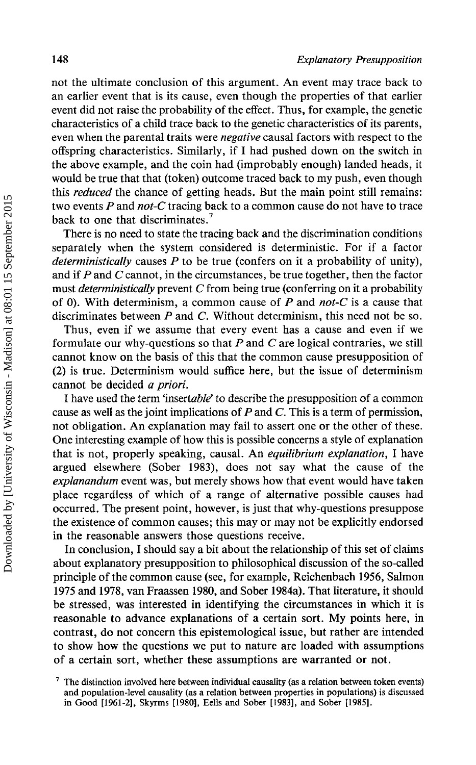not the ultimate conclusion of this argument. An event may trace back to an earlier event that is its cause, even though the properties of that earlier event did not raise the probability of the effect. Thus, for example, the genetic characteristics of a child trace back to the genetic characteristics of its parents, even when the parental traits were *negative* causal factors with respect to the offspring characteristics. Similarly, if I had pushed down on the switch in the above example, and the coin had (improbably enough) landed heads, it would be true that that (token) outcome traced back to my push, even though this *reduced* the chance of getting heads. But the main point still remains: two events P and *not-C* tracing back to a common cause do not have to trace back to one that discriminates.<sup>7</sup>

There is no need to state the tracing back and the discrimination conditions separately when the system considered is deterministic. For if a factor *deterministically* causes P to be true (confers on it a probability of unity), and if P and C cannot, in the circumstances, be true together, then the factor must *deterministically* prevent C from being true (conferring on it a probability of 0). With determinism, a common cause of P and *not-C* is a cause that discriminates between  $P$  and  $C$ . Without determinism, this need not be so.

Thus, even if we assume that every event has a cause and even if we formulate our why-questions so that  $P$  and  $C$  are logical contraries, we still cannot know on the basis of this that the common cause presupposition of (2) is true. Determinism would suffice here, but the issue of determinism cannot be decided *a priori.* 

I have used the term *'insertable'* to describe the presupposition of a common cause as well as the joint implications of  $P$  and  $C$ . This is a term of permission, not obligation. An explanation may fail to assert one or the other of these. One interesting example of how this is possible concerns a style of explanation that is not, properly speaking, causal. An *equilibrium explanation,* I have argued elsewhere (Sober 1983), does not say what the cause of the *explanandum* event was, but merely shows how that event would have taken place regardless of which of a range of alternative possible causes had occurred. The present point, however, is just that why-questions presuppose the existence of common causes; this may or may not be explicitly endorsed in the reasonable answers those questions receive.

In conclusion, I should say a bit about the relationship of this set of claims about explanatory presupposition to philosophical discussion of the so-called principle of the common cause (see, for example, Reichenbach 1956, Salmon 1975 and 1978, van Fraassen 1980, and Sober 1984a). That literature, it should be stressed, was interested in identifying the circumstances in which it is reasonable to advance explanations of a certain sort. My points here, in contrast, do not concern this epistemological issue, but rather are intended to show how the questions we put to nature are loaded with assumptions of a certain sort, whether these assumptions are warranted or not.

 $<sup>7</sup>$  The distinction involved here between individual causality (as a relation between token events)</sup> and population-level causality (as a relation between properties in populations) is discussed in Good [1961-2], Skyrms [1980], Eells and Sober [1983], and Sober [1985].